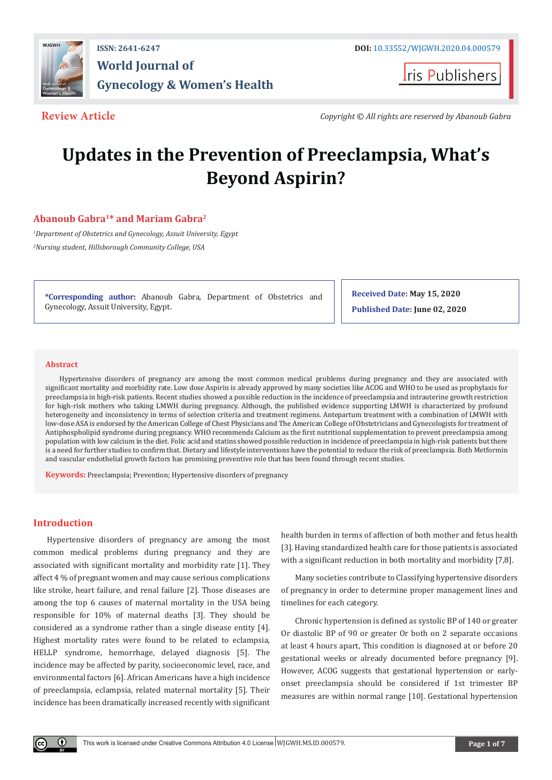

**Iris Publishers** 

**Review Article** *Copyright © All rights are reserved by Abanoub Gabra*

# **Updates in the Prevention of Preeclampsia, What's Beyond Aspirin?**

# **Abanoub Gabra1\* and Mariam Gabra2**

*1 Department of Obstetrics and Gynecology, Assuit University, Egypt 2 Nursing student, Hillsborough Community College, USA*

**\*Corresponding author:** Abanoub Gabra, Department of Obstetrics and Gynecology, Assuit University, Egypt.

**Received Date: May 15, 2020 Published Date: June 02, 2020**

#### **Abstract**

Hypertensive disorders of pregnancy are among the most common medical problems during pregnancy and they are associated with significant mortality and morbidity rate. Low dose Aspirin is already approved by many societies like ACOG and WHO to be used as prophylaxis for preeclampsia in high-risk patients. Recent studies showed a possible reduction in the incidence of preeclampsia and intrauterine growth restriction for high-risk mothers who taking LMWH during pregnancy. Although, the published evidence supporting LMWH is characterized by profound heterogeneity and inconsistency in terms of selection criteria and treatment regimens. Antepartum treatment with a combination of LMWH with low-dose ASA is endorsed by the American College of Chest Physicians and The American College of Obstetricians and Gynecologists for treatment of Antiphospholipid syndrome during pregnancy. WHO recommends Calcium as the first nutritional supplementation to prevent preeclampsia among population with low calcium in the diet. Folic acid and statins showed possible reduction in incidence of preeclampsia in high-risk patients but there is a need for further studies to confirm that. Dietary and lifestyle interventions have the potential to reduce the risk of preeclampsia. Both Metformin and vascular endothelial growth factors has promising preventive role that has been found through recent studies.

**Keywords:** Preeclampsia; Prevention; Hypertensive disorders of pregnancy

# **Introduction**

Hypertensive disorders of pregnancy are among the most common medical problems during pregnancy and they are associated with significant mortality and morbidity rate [1]. They affect 4 % of pregnant women and may cause serious complications like stroke, heart failure, and renal failure [2]. Those diseases are among the top 6 causes of maternal mortality in the USA being responsible for 10% of maternal deaths [3]. They should be considered as a syndrome rather than a single disease entity [4]. Highest mortality rates were found to be related to eclampsia, HELLP syndrome, hemorrhage, delayed diagnosis [5]. The incidence may be affected by parity, socioeconomic level, race, and environmental factors [6]. African Americans have a high incidence of preeclampsia, eclampsia, related maternal mortality [5]. Their incidence has been dramatically increased recently with significant

health burden in terms of affection of both mother and fetus health [3]. Having standardized health care for those patients is associated with a significant reduction in both mortality and morbidity [7,8].

Many societies contribute to Classifying hypertensive disorders of pregnancy in order to determine proper management lines and timelines for each category.

Chronic hypertension is defined as systolic BP of 140 or greater Or diastolic BP of 90 or greater Or both on 2 separate occasions at least 4 hours apart, This condition is diagnosed at or before 20 gestational weeks or already documented before pregnancy [9]. However, ACOG suggests that gestational hypertension or earlyonset preeclampsia should be considered if 1st trimester BP measures are within normal range [10]. Gestational hypertension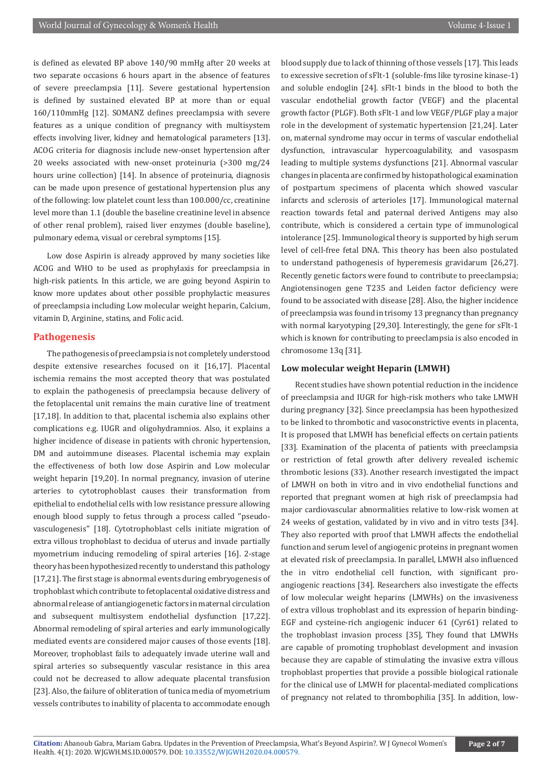is defined as elevated BP above 140/90 mmHg after 20 weeks at two separate occasions 6 hours apart in the absence of features of severe preeclampsia [11]. Severe gestational hypertension is defined by sustained elevated BP at more than or equal 160/110mmHg [12]. SOMANZ defines preeclampsia with severe features as a unique condition of pregnancy with multisystem effects involving liver, kidney and hematological parameters [13]. ACOG criteria for diagnosis include new-onset hypertension after 20 weeks associated with new-onset proteinuria (>300 mg/24 hours urine collection) [14]. In absence of proteinuria, diagnosis can be made upon presence of gestational hypertension plus any of the following: low platelet count less than 100.000/cc, creatinine level more than 1.1 (double the baseline creatinine level in absence of other renal problem), raised liver enzymes (double baseline), pulmonary edema, visual or cerebral symptoms [15].

Low dose Aspirin is already approved by many societies like ACOG and WHO to be used as prophylaxis for preeclampsia in high-risk patients. In this article, we are going beyond Aspirin to know more updates about other possible prophylactic measures of preeclampsia including Low molecular weight heparin, Calcium, vitamin D, Arginine, statins, and Folic acid.

#### **Pathogenesis**

The pathogenesis of preeclampsia is not completely understood despite extensive researches focused on it [16,17]. Placental ischemia remains the most accepted theory that was postulated to explain the pathogenesis of preeclampsia because delivery of the fetoplacental unit remains the main curative line of treatment [17,18]. In addition to that, placental ischemia also explains other complications e.g. IUGR and oligohydramnios. Also, it explains a higher incidence of disease in patients with chronic hypertension, DM and autoimmune diseases. Placental ischemia may explain the effectiveness of both low dose Aspirin and Low molecular weight heparin [19,20]. In normal pregnancy, invasion of uterine arteries to cytotrophoblast causes their transformation from epithelial to endothelial cells with low resistance pressure allowing enough blood supply to fetus through a process called ''pseudovasculogenesis'' [18]. Cytotrophoblast cells initiate migration of extra villous trophoblast to decidua of uterus and invade partially myometrium inducing remodeling of spiral arteries [16]. 2-stage theory has been hypothesized recently to understand this pathology [17,21]. The first stage is abnormal events during embryogenesis of trophoblast which contribute to fetoplacental oxidative distress and abnormal release of antiangiogenetic factors in maternal circulation and subsequent multisystem endothelial dysfunction [17,22]. Abnormal remodeling of spiral arteries and early immunologically mediated events are considered major causes of those events [18]. Moreover, trophoblast fails to adequately invade uterine wall and spiral arteries so subsequently vascular resistance in this area could not be decreased to allow adequate placental transfusion [23]. Also, the failure of obliteration of tunica media of myometrium vessels contributes to inability of placenta to accommodate enough

blood supply due to lack of thinning of those vessels [17]. This leads to excessive secretion of sFlt-1 (soluble-fms like tyrosine kinase-1) and soluble endoglin [24]. sFlt-1 binds in the blood to both the vascular endothelial growth factor (VEGF) and the placental growth factor (PLGF). Both sFlt-1 and low VEGF/PLGF play a major role in the development of systematic hypertension [21,24]. Later on, maternal syndrome may occur in terms of vascular endothelial dysfunction, intravascular hypercoagulability, and vasospasm leading to multiple systems dysfunctions [21]. Abnormal vascular changes in placenta are confirmed by histopathological examination of postpartum specimens of placenta which showed vascular infarcts and sclerosis of arterioles [17]. Immunological maternal reaction towards fetal and paternal derived Antigens may also contribute, which is considered a certain type of immunological intolerance [25]. Immunological theory is supported by high serum level of cell-free fetal DNA. This theory has been also postulated to understand pathogenesis of hyperemesis gravidarum [26,27]. Recently genetic factors were found to contribute to preeclampsia; Angiotensinogen gene T235 and Leiden factor deficiency were found to be associated with disease [28]. Also, the higher incidence of preeclampsia was found in trisomy 13 pregnancy than pregnancy with normal karyotyping [29,30]. Interestingly, the gene for sFlt-1 which is known for contributing to preeclampsia is also encoded in chromosome 13q [31].

#### **Low molecular weight Heparin (LMWH)**

Recent studies have shown potential reduction in the incidence of preeclampsia and IUGR for high-risk mothers who take LMWH during pregnancy [32]. Since preeclampsia has been hypothesized to be linked to thrombotic and vasoconstrictive events in placenta, It is proposed that LMWH has beneficial effects on certain patients [33]. Examination of the placenta of patients with preeclampsia or restriction of fetal growth after delivery revealed ischemic thrombotic lesions (33). Another research investigated the impact of LMWH on both in vitro and in vivo endothelial functions and reported that pregnant women at high risk of preeclampsia had major cardiovascular abnormalities relative to low-risk women at 24 weeks of gestation, validated by in vivo and in vitro tests [34]. They also reported with proof that LMWH affects the endothelial function and serum level of angiogenic proteins in pregnant women at elevated risk of preeclampsia. In parallel, LMWH also influenced the in vitro endothelial cell function, with significant proangiogenic reactions [34]. Researchers also investigate the effects of low molecular weight heparins (LMWHs) on the invasiveness of extra villous trophoblast and its expression of heparin binding-EGF and cysteine-rich angiogenic inducer 61 (Cyr61) related to the trophoblast invasion process [35], They found that LMWHs are capable of promoting trophoblast development and invasion because they are capable of stimulating the invasive extra villous trophoblast properties that provide a possible biological rationale for the clinical use of LMWH for placental-mediated complications of pregnancy not related to thrombophilia [35]. In addition, low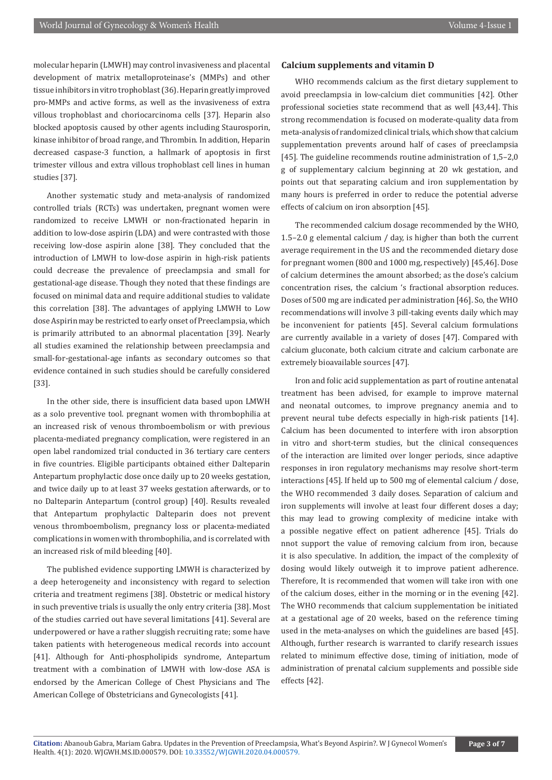molecular heparin (LMWH) may control invasiveness and placental development of matrix metalloproteinase's (MMPs) and other tissue inhibitors in vitro trophoblast (36). Heparin greatly improved pro-MMPs and active forms, as well as the invasiveness of extra villous trophoblast and choriocarcinoma cells [37]. Heparin also blocked apoptosis caused by other agents including Staurosporin, kinase inhibitor of broad range, and Thrombin. In addition, Heparin decreased caspase-3 function, a hallmark of apoptosis in first trimester villous and extra villous trophoblast cell lines in human studies [37].

Another systematic study and meta-analysis of randomized controlled trials (RCTs) was undertaken, pregnant women were randomized to receive LMWH or non-fractionated heparin in addition to low-dose aspirin (LDA) and were contrasted with those receiving low-dose aspirin alone [38]. They concluded that the introduction of LMWH to low-dose aspirin in high-risk patients could decrease the prevalence of preeclampsia and small for gestational-age disease. Though they noted that these findings are focused on minimal data and require additional studies to validate this correlation [38]. The advantages of applying LMWH to Low dose Aspirin may be restricted to early onset of Preeclampsia, which is primarily attributed to an abnormal placentation [39]. Nearly all studies examined the relationship between preeclampsia and small-for-gestational-age infants as secondary outcomes so that evidence contained in such studies should be carefully considered [33].

In the other side, there is insufficient data based upon LMWH as a solo preventive tool. pregnant women with thrombophilia at an increased risk of venous thromboembolism or with previous placenta-mediated pregnancy complication, were registered in an open label randomized trial conducted in 36 tertiary care centers in five countries. Eligible participants obtained either Dalteparin Antepartum prophylactic dose once daily up to 20 weeks gestation, and twice daily up to at least 37 weeks gestation afterwards, or to no Dalteparin Antepartum (control group) [40]. Results revealed that Antepartum prophylactic Dalteparin does not prevent venous thromboembolism, pregnancy loss or placenta-mediated complications in women with thrombophilia, and is correlated with an increased risk of mild bleeding [40].

The published evidence supporting LMWH is characterized by a deep heterogeneity and inconsistency with regard to selection criteria and treatment regimens [38]. Obstetric or medical history in such preventive trials is usually the only entry criteria [38]. Most of the studies carried out have several limitations [41]. Several are underpowered or have a rather sluggish recruiting rate; some have taken patients with heterogeneous medical records into account [41]. Although for Anti-phospholipids syndrome, Antepartum treatment with a combination of LMWH with low-dose ASA is endorsed by the American College of Chest Physicians and The American College of Obstetricians and Gynecologists [41].

## **Calcium supplements and vitamin D**

WHO recommends calcium as the first dietary supplement to avoid preeclampsia in low-calcium diet communities [42]. Other professional societies state recommend that as well [43,44]. This strong recommendation is focused on moderate-quality data from meta-analysis of randomized clinical trials, which show that calcium supplementation prevents around half of cases of preeclampsia [45]. The guideline recommends routine administration of 1,5–2,0 g of supplementary calcium beginning at 20 wk gestation, and points out that separating calcium and iron supplementation by many hours is preferred in order to reduce the potential adverse effects of calcium on iron absorption [45].

The recommended calcium dosage recommended by the WHO, 1.5–2.0 g elemental calcium / day, is higher than both the current average requirement in the US and the recommended dietary dose for pregnant women (800 and 1000 mg, respectively) [45,46]. Dose of calcium determines the amount absorbed; as the dose's calcium concentration rises, the calcium 's fractional absorption reduces. Doses of 500 mg are indicated per administration [46]. So, the WHO recommendations will involve 3 pill-taking events daily which may be inconvenient for patients [45]. Several calcium formulations are currently available in a variety of doses [47]. Compared with calcium gluconate, both calcium citrate and calcium carbonate are extremely bioavailable sources [47].

Iron and folic acid supplementation as part of routine antenatal treatment has been advised, for example to improve maternal and neonatal outcomes, to improve pregnancy anemia and to prevent neural tube defects especially in high-risk patients [14]. Calcium has been documented to interfere with iron absorption in vitro and short-term studies, but the clinical consequences of the interaction are limited over longer periods, since adaptive responses in iron regulatory mechanisms may resolve short-term interactions [45]. If held up to 500 mg of elemental calcium / dose, the WHO recommended 3 daily doses. Separation of calcium and iron supplements will involve at least four different doses a day; this may lead to growing complexity of medicine intake with a possible negative effect on patient adherence [45]. Trials do nnot support the value of removing calcium from iron, because it is also speculative. In addition, the impact of the complexity of dosing would likely outweigh it to improve patient adherence. Therefore, It is recommended that women will take iron with one of the calcium doses, either in the morning or in the evening [42]. The WHO recommends that calcium supplementation be initiated at a gestational age of 20 weeks, based on the reference timing used in the meta-analyses on which the guidelines are based [45]. Although, further research is warranted to clarify research issues related to minimum effective dose, timing of initiation, mode of administration of prenatal calcium supplements and possible side effects [42].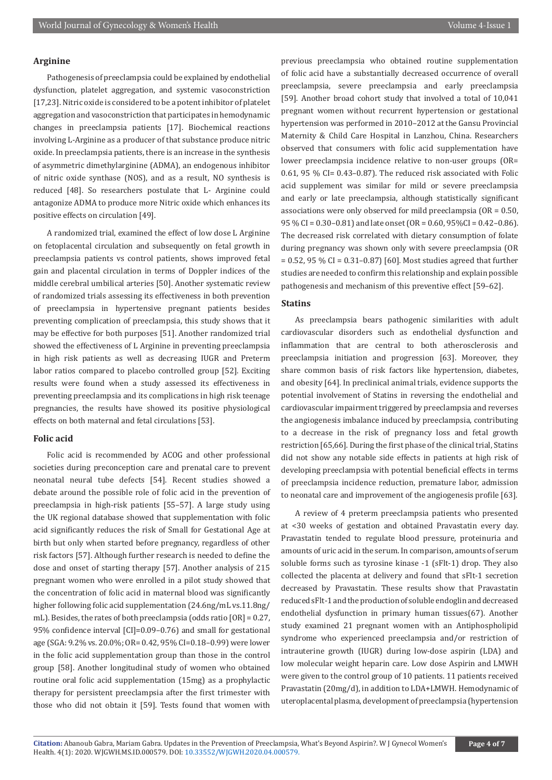### **Arginine**

Pathogenesis of preeclampsia could be explained by endothelial dysfunction, platelet aggregation, and systemic vasoconstriction [17,23]. Nitric oxide is considered to be a potent inhibitor of platelet aggregation and vasoconstriction that participates in hemodynamic changes in preeclampsia patients [17]. Biochemical reactions involving L-Arginine as a producer of that substance produce nitric oxide. In preeclampsia patients, there is an increase in the synthesis of asymmetric dimethylarginine (ADMA), an endogenous inhibitor of nitric oxide synthase (NOS), and as a result, NO synthesis is reduced [48]. So researchers postulate that L- Arginine could antagonize ADMA to produce more Nitric oxide which enhances its positive effects on circulation [49].

A randomized trial, examined the effect of low dose L Arginine on fetoplacental circulation and subsequently on fetal growth in preeclampsia patients vs control patients, shows improved fetal gain and placental circulation in terms of Doppler indices of the middle cerebral umbilical arteries [50]. Another systematic review of randomized trials assessing its effectiveness in both prevention of preeclampsia in hypertensive pregnant patients besides preventing complication of preeclampsia, this study shows that it may be effective for both purposes [51]. Another randomized trial showed the effectiveness of L Arginine in preventing preeclampsia in high risk patients as well as decreasing IUGR and Preterm labor ratios compared to placebo controlled group [52]. Exciting results were found when a study assessed its effectiveness in preventing preeclampsia and its complications in high risk teenage pregnancies, the results have showed its positive physiological effects on both maternal and fetal circulations [53].

#### **Folic acid**

Folic acid is recommended by ACOG and other professional societies during preconception care and prenatal care to prevent neonatal neural tube defects [54]. Recent studies showed a debate around the possible role of folic acid in the prevention of preeclampsia in high-risk patients [55–57]. A large study using the UK regional database showed that supplementation with folic acid significantly reduces the risk of Small for Gestational Age at birth but only when started before pregnancy, regardless of other risk factors [57]. Although further research is needed to define the dose and onset of starting therapy [57]. Another analysis of 215 pregnant women who were enrolled in a pilot study showed that the concentration of folic acid in maternal blood was significantly higher following folic acid supplementation (24.6ng/mL vs.11.8ng/ mL). Besides, the rates of both preeclampsia (odds ratio [OR] = 0.27, 95% confidence interval [CI]=0.09–0.76) and small for gestational age (SGA: 9.2% vs. 20.0%; OR= 0.42, 95% CI=0.18–0.99) were lower in the folic acid supplementation group than those in the control group [58]. Another longitudinal study of women who obtained routine oral folic acid supplementation (15mg) as a prophylactic therapy for persistent preeclampsia after the first trimester with those who did not obtain it [59]. Tests found that women with

previous preeclampsia who obtained routine supplementation of folic acid have a substantially decreased occurrence of overall preeclampsia, severe preeclampsia and early preeclampsia [59]. Another broad cohort study that involved a total of 10,041 pregnant women without recurrent hypertension or gestational hypertension was performed in 2010–2012 at the Gansu Provincial Maternity & Child Care Hospital in Lanzhou, China. Researchers observed that consumers with folic acid supplementation have lower preeclampsia incidence relative to non-user groups (OR= 0.61, 95 % CI= 0.43–0.87). The reduced risk associated with Folic acid supplement was similar for mild or severe preeclampsia and early or late preeclampsia, although statistically significant associations were only observed for mild preeclampsia (OR = 0.50, 95 % CI = 0.30–0.81) and late onset (OR = 0.60, 95%CI = 0.42–0.86). The decreased risk correlated with dietary consumption of folate during pregnancy was shown only with severe preeclampsia (OR  $= 0.52$ , 95 % CI = 0.31–0.87) [60]. Most studies agreed that further studies are needed to confirm this relationship and explain possible pathogenesis and mechanism of this preventive effect [59–62].

#### **Statins**

As preeclampsia bears pathogenic similarities with adult cardiovascular disorders such as endothelial dysfunction and inflammation that are central to both atherosclerosis and preeclampsia initiation and progression [63]. Moreover, they share common basis of risk factors like hypertension, diabetes, and obesity [64]. In preclinical animal trials, evidence supports the potential involvement of Statins in reversing the endothelial and cardiovascular impairment triggered by preeclampsia and reverses the angiogenesis imbalance induced by preeclampsia, contributing to a decrease in the risk of pregnancy loss and fetal growth restriction [65,66]. During the first phase of the clinical trial, Statins did not show any notable side effects in patients at high risk of developing preeclampsia with potential beneficial effects in terms of preeclampsia incidence reduction, premature labor, admission to neonatal care and improvement of the angiogenesis profile [63].

A review of 4 preterm preeclampsia patients who presented at <30 weeks of gestation and obtained Pravastatin every day. Pravastatin tended to regulate blood pressure, proteinuria and amounts of uric acid in the serum. In comparison, amounts of serum soluble forms such as tyrosine kinase -1 (sFlt-1) drop. They also collected the placenta at delivery and found that sFlt-1 secretion decreased by Pravastatin. These results show that Pravastatin reduced sFlt-1 and the production of soluble endoglin and decreased endothelial dysfunction in primary human tissues(67). Another study examined 21 pregnant women with an Antiphospholipid syndrome who experienced preeclampsia and/or restriction of intrauterine growth (IUGR) during low-dose aspirin (LDA) and low molecular weight heparin care. Low dose Aspirin and LMWH were given to the control group of 10 patients. 11 patients received Pravastatin (20mg/d), in addition to LDA+LMWH. Hemodynamic of uteroplacental plasma, development of preeclampsia (hypertension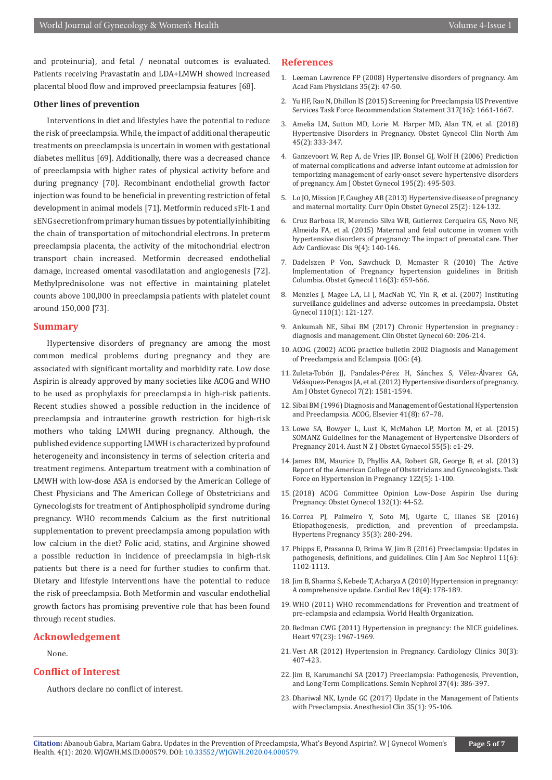and proteinuria), and fetal / neonatal outcomes is evaluated. Patients receiving Pravastatin and LDA+LMWH showed increased placental blood flow and improved preeclampsia features [68].

#### **Other lines of prevention**

Interventions in diet and lifestyles have the potential to reduce the risk of preeclampsia. While, the impact of additional therapeutic treatments on preeclampsia is uncertain in women with gestational diabetes mellitus [69]. Additionally, there was a decreased chance of preeclampsia with higher rates of physical activity before and during pregnancy [70]. Recombinant endothelial growth factor injection was found to be beneficial in preventing restriction of fetal development in animal models [71]. Metformin reduced sFlt-1 and sENG secretion from primary human tissues by potentially inhibiting the chain of transportation of mitochondrial electrons. In preterm preeclampsia placenta, the activity of the mitochondrial electron transport chain increased. Metformin decreased endothelial damage, increased omental vasodilatation and angiogenesis [72]. Methylprednisolone was not effective in maintaining platelet counts above 100,000 in preeclampsia patients with platelet count around 150,000 [73].

#### **Summary**

Hypertensive disorders of pregnancy are among the most common medical problems during pregnancy and they are associated with significant mortality and morbidity rate. Low dose Aspirin is already approved by many societies like ACOG and WHO to be used as prophylaxis for preeclampsia in high-risk patients. Recent studies showed a possible reduction in the incidence of preeclampsia and intrauterine growth restriction for high-risk mothers who taking LMWH during pregnancy. Although, the published evidence supporting LMWH is characterized by profound heterogeneity and inconsistency in terms of selection criteria and treatment regimens. Antepartum treatment with a combination of LMWH with low-dose ASA is endorsed by the American College of Chest Physicians and The American College of Obstetricians and Gynecologists for treatment of Antiphospholipid syndrome during pregnancy. WHO recommends Calcium as the first nutritional supplementation to prevent preeclampsia among population with low calcium in the diet? Folic acid, statins, and Arginine showed a possible reduction in incidence of preeclampsia in high-risk patients but there is a need for further studies to confirm that. Dietary and lifestyle interventions have the potential to reduce the risk of preeclampsia. Both Metformin and vascular endothelial growth factors has promising preventive role that has been found through recent studies.

# **Acknowledgement**

#### None.

#### **Conflict of Interest**

Authors declare no conflict of interest.

#### **References**

- 1. Leeman Lawrence FP (2008) Hypertensive disorders of pregnancy. Am Acad Fam Physicians 35(2): 47-50.
- 2. Yu HF, Rao N, Dhillon IS (2015) Screening for Preeclampsia US Preventive Services Task Force Recommendation Statement 317(16): 1661-1667.
- 3. Amelia LM, Sutton MD, Lorie M. Harper MD, Alan TN, et al. (2018) Hypertensive Disorders in Pregnancy. Obstet Gynecol Clin North Am 45(2): 333-347.
- 4. [Ganzevoort W, Rep A, de Vries JIP, Bonsel GJ, Wolf H \(2006\) Prediction](https://pubmed.ncbi.nlm.nih.gov/16643825/) [of maternal complications and adverse infant outcome at admission for](https://pubmed.ncbi.nlm.nih.gov/16643825/) [temporizing management of early-onset severe hypertensive disorders](https://pubmed.ncbi.nlm.nih.gov/16643825/) [of pregnancy. Am J Obstet Gynecol 195\(2\): 495-503.](https://pubmed.ncbi.nlm.nih.gov/16643825/)
- 5. [Lo JO, Mission JF, Caughey AB \(2013\) Hypertensive disease of pregnancy](https://pubmed.ncbi.nlm.nih.gov/23403779/) [and maternal mortality. Curr Opin Obstet Gynecol 25\(2\): 124-132.](https://pubmed.ncbi.nlm.nih.gov/23403779/)
- 6. [Cruz Barbosa IR, Merencio Silva WB, Gutierrez Cerqueira GS, Novo NF,](https://pubmed.ncbi.nlm.nih.gov/26220808/) [Almeida FA, et al. \(2015\) Maternal and fetal outcome in women with](https://pubmed.ncbi.nlm.nih.gov/26220808/) [hypertensive disorders of pregnancy: The impact of prenatal care. Ther](https://pubmed.ncbi.nlm.nih.gov/26220808/) [Adv Cardiovasc Dis 9\(4\): 140-146.](https://pubmed.ncbi.nlm.nih.gov/26220808/)
- 7. [Dadelszen P Von, Sawchuck D, Mcmaster R \(2010\) The Active](https://pubmed.ncbi.nlm.nih.gov/20733449/) [Implementation of Pregnancy hypertension guidelines in British](https://pubmed.ncbi.nlm.nih.gov/20733449/) [Columbia. Obstet Gynecol 116\(3\): 659-666.](https://pubmed.ncbi.nlm.nih.gov/20733449/)
- 8. [Menzies J, Magee LA, Li J, MacNab YC, Yin R, et al. \(2007\) Instituting](https://pubmed.ncbi.nlm.nih.gov/17601906/) [surveillance guidelines and adverse outcomes in preeclampsia. Obstet](https://pubmed.ncbi.nlm.nih.gov/17601906/) [Gynecol 110\(1\): 121-127.](https://pubmed.ncbi.nlm.nih.gov/17601906/)
- 9. Ankumah NE, Sibai BM (2017) Chronic Hypertension in pregnancy : diagnosis and management. Clin Obstet Gynecol 60: 206-214.
- 10. ACOG. (2002) ACOG practice bulletin 2002 Diagnosis and Management of Preeclampsia and Eclampsia. IJOG: (4).
- 11. Zuleta-Tobón JJ, Pandales-Pérez H, Sánchez S, Vélez-Álvarez GA, Velásquez-Penagos JA, et al. (2012) Hypertensive disorders of pregnancy. Am J Obstet Gynecol 7(2): 1581-1594.
- 12. Sibai BM (1996) Diagnosis and Management of Gestational Hypertension and Preeclampsia. ACOG, Elsevier 41(8): 67–78.
- 13. [Lowe SA, Bowyer L, Lust K, McMahon LP, Morton M, et al. \(2015\)](https://pubmed.ncbi.nlm.nih.gov/26412014/) [SOMANZ Guidelines for the Management of Hypertensive Disorders of](https://pubmed.ncbi.nlm.nih.gov/26412014/) [Pregnancy 2014. Aust N Z J Obstet Gynaecol 55\(5\): e1-29.](https://pubmed.ncbi.nlm.nih.gov/26412014/)
- 14. James RM, Maurice D, Phyllis AA, Robert GR, George B, et al. (2013) Report of the American College of Obstetricians and Gynecologists. Task Force on Hypertension in Pregnancy 122(5): 1-100.
- 15.(2018) ACOG Committee Opinion Low-Dose Aspirin Use during Pregnancy. Obstet Gynecol 132(1): 44-52.
- 16. [Correa PJ, Palmeiro Y, Soto MJ, Ugarte C, Illanes SE \(2016\)](https://pubmed.ncbi.nlm.nih.gov/27315325/) [Etiopathogenesis, prediction, and prevention of preeclampsia.](https://pubmed.ncbi.nlm.nih.gov/27315325/) [Hypertens Pregnancy 35\(3\): 280-294.](https://pubmed.ncbi.nlm.nih.gov/27315325/)
- 17. [Phipps E, Prasanna D, Brima W, Jim B \(2016\) Preeclampsia: Updates in](https://pubmed.ncbi.nlm.nih.gov/27094609/) [pathogenesis, definitions, and guidelines. Clin J Am Soc Nephrol 11\(6\):](https://pubmed.ncbi.nlm.nih.gov/27094609/) [1102-1113.](https://pubmed.ncbi.nlm.nih.gov/27094609/)
- 18. [Jim B, Sharma S, Kebede T, Acharya A \(2010\) Hypertension in pregnancy:](https://pubmed.ncbi.nlm.nih.gov/20539101/) [A comprehensive update. Cardiol Rev 18\(4\): 178-189.](https://pubmed.ncbi.nlm.nih.gov/20539101/)
- 19. WHO (2011) WHO recommendations for Prevention and treatment of pre-eclampsia and eclampsia. World Health Organization.
- 20. Redman CWG (2011) Hypertension in pregnancy: the NICE guidelines. Heart 97(23): 1967-1969.
- 21. [Vest AR \(2012\) Hypertension in Pregnancy. Cardiology Clinics 30\(3\):](https://www.sciencedirect.com/science/article/abs/pii/S0733865112000562?via%3Dihub) [407-423.](https://www.sciencedirect.com/science/article/abs/pii/S0733865112000562?via%3Dihub)
- 22. [Jim B, Karumanchi SA \(2017\) Preeclampsia: Pathogenesis, Prevention,](https://pubmed.ncbi.nlm.nih.gov/28711078/) [and Long-Term Complications. Semin Nephrol 37\(4\): 386-397.](https://pubmed.ncbi.nlm.nih.gov/28711078/)
- 23. [Dhariwal NK, Lynde GC \(2017\) Update in the Management of Patients](https://pubmed.ncbi.nlm.nih.gov/28131123/) [with Preeclampsia. Anesthesiol Clin 35\(1\): 95-106.](https://pubmed.ncbi.nlm.nih.gov/28131123/)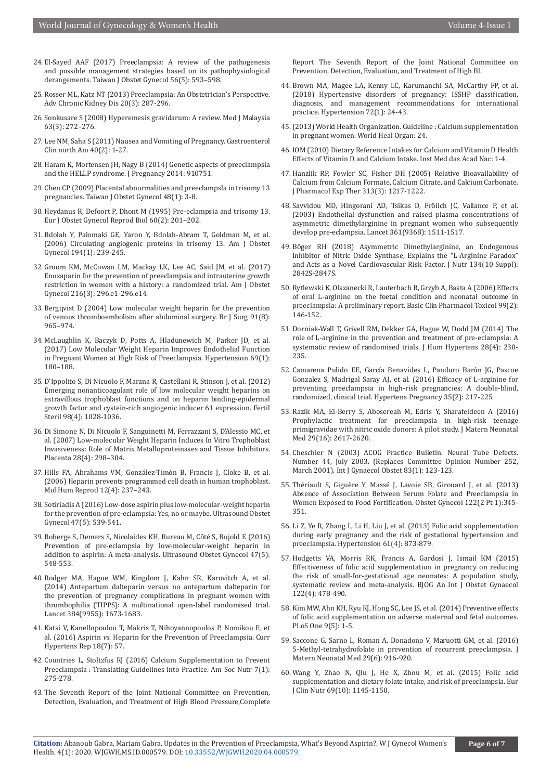- 24. [El-Sayed AAF \(2017\) Preeclampsia: A review of the pathogenesis](https://pubmed.ncbi.nlm.nih.gov/29037542/)  [and possible management strategies based on its pathophysiological](https://pubmed.ncbi.nlm.nih.gov/29037542/)  derangements. Taiwan J Obstet Gynecol 56(5): 593-598.
- 25. [Rosser ML, Katz NT \(2013\) Preeclampsia: An Obstetrician's Perspective.](https://pubmed.ncbi.nlm.nih.gov/23928395/)  [Adv Chronic Kidney Dis 20\(3\): 287-296.](https://pubmed.ncbi.nlm.nih.gov/23928395/)
- 26. [Sonkusare S \(2008\) Hyperemesis gravidarum: A review. Med J Malaysia](https://pubmed.ncbi.nlm.nih.gov/19248711/)  [63\(3\): 272–276.](https://pubmed.ncbi.nlm.nih.gov/19248711/)
- 27. [Lee NM, Saha S \(2011\) Nausea and Vomiting of Pregnancy. Gastroenterol](https://pubmed.ncbi.nlm.nih.gov/21601782/)  [Clin north Am 40\(2\): 1-27.](https://pubmed.ncbi.nlm.nih.gov/21601782/)
- 28. [Haram K, Mortensen JH, Nagy B \(2014\) Genetic aspects of preeclampsia](https://pubmed.ncbi.nlm.nih.gov/24991435/)  [and the HELLP syndrome. J Pregnancy 2014: 910751.](https://pubmed.ncbi.nlm.nih.gov/24991435/)
- 29. [Chen CP \(2009\) Placental abnormalities and preeclampsla in trisomy 13](https://pubmed.ncbi.nlm.nih.gov/19346185/)  [pregnancies. Taiwan J Obstet Gynecol 48\(1\): 3-8.](https://pubmed.ncbi.nlm.nih.gov/19346185/)
- 30. [Heydanus R, Defoort P, Dhont M \(1995\) Pre-eclampsia and trisomy 13.](https://pubmed.ncbi.nlm.nih.gov/7641975/)  [Eur J Obstet Gynecol Reprod Biol 60\(2\): 201–202.](https://pubmed.ncbi.nlm.nih.gov/7641975/)
- 31. [Bdolah Y, Palomaki GE, Yaron Y, Bdolah-Abram T, Goldman M, et al.](https://pubmed.ncbi.nlm.nih.gov/16389038/)  [\(2006\) Circulating angiogenic proteins in trisomy 13. Am J Obstet](https://pubmed.ncbi.nlm.nih.gov/16389038/)  [Gynecol 194\(1\): 239-245.](https://pubmed.ncbi.nlm.nih.gov/16389038/)
- 32. [Groom KM, McCowan LM, Mackay LK, Lee AC, Said JM, et al. \(2017\)](https://pubmed.ncbi.nlm.nih.gov/28153659/)  [Enoxaparin for the prevention of preeclampsia and intrauterine growth](https://pubmed.ncbi.nlm.nih.gov/28153659/)  [restriction in women with a history: a randomized trial. Am J Obstet](https://pubmed.ncbi.nlm.nih.gov/28153659/)  [Gynecol 216\(3\): 296.e1-296.e14.](https://pubmed.ncbi.nlm.nih.gov/28153659/)
- 33. [Bergqvist D \(2004\) Low molecular weight heparin for the prevention](https://pubmed.ncbi.nlm.nih.gov/15286956/)  [of venous thromboembolism after abdominal surgery. Br J Surg 91\(8\):](https://pubmed.ncbi.nlm.nih.gov/15286956/)  [965–974.](https://pubmed.ncbi.nlm.nih.gov/15286956/)
- 34. [McLaughlin K, Baczyk D, Potts A, Hladunewich M, Parker JD, et al.](https://pubmed.ncbi.nlm.nih.gov/27840330/)  [\(2017\) Low Molecular Weight Heparin Improves Endothelial Function](https://pubmed.ncbi.nlm.nih.gov/27840330/)  [in Pregnant Women at High Risk of Preeclampsia. Hypertension 69\(1\):](https://pubmed.ncbi.nlm.nih.gov/27840330/)  [180–188.](https://pubmed.ncbi.nlm.nih.gov/27840330/)
- 35. [D'Ippolito S, Di Nicuolo F, Marana R, Castellani R, Stinson J, et al. \(2012\)](https://pubmed.ncbi.nlm.nih.gov/22818289/)  [Emerging nonanticoagulant role of low molecular weight heparins on](https://pubmed.ncbi.nlm.nih.gov/22818289/)  [extravillous trophoblast functions and on heparin binding-epidermal](https://pubmed.ncbi.nlm.nih.gov/22818289/)  [growth factor and cystein-rich angiogenic inducer 61 expression. Fertil](https://pubmed.ncbi.nlm.nih.gov/22818289/)  [Steril 98\(4\): 1028-1036.](https://pubmed.ncbi.nlm.nih.gov/22818289/)
- 36. [Di Simone N, Di Nicuolo F, Sanguinetti M, Ferrazzani S,](https://pubmed.ncbi.nlm.nih.gov/16750851/) D'Alessio MC, et [al. \(2007\) Low-molecular Weight Heparin Induces In Vitro Trophoblast](https://pubmed.ncbi.nlm.nih.gov/16750851/)  [Invasiveness: Role of Matrix Metalloproteinases and Tissue Inhibitors.](https://pubmed.ncbi.nlm.nih.gov/16750851/)  [Placenta 28\(4\): 298–304.](https://pubmed.ncbi.nlm.nih.gov/16750851/)
- 37. [Hills FA, Abrahams VM, González-Timón B, Francis J, Cloke B, et al.](https://pubmed.ncbi.nlm.nih.gov/16556679/)  [\(2006\) Heparin prevents programmed cell death in human trophoblast.](https://pubmed.ncbi.nlm.nih.gov/16556679/)  [Mol Hum Reprod 12\(4\): 237–243.](https://pubmed.ncbi.nlm.nih.gov/16556679/)
- 38. [Sotiriadis A \(2016\) Low-dose aspirin plus low-molecular-weight heparin](https://pubmed.ncbi.nlm.nih.gov/27147412/)  [for the prevention of pre-eclampsia: Yes, no or maybe. Ultrasound Obstet](https://pubmed.ncbi.nlm.nih.gov/27147412/)  [Gynecol 47\(5\): 539-541.](https://pubmed.ncbi.nlm.nih.gov/27147412/)
- 39. [Roberge S, Demers S, Nicolaides KH, Bureau M, Côté S, Bujold E \(2016\)](https://pubmed.ncbi.nlm.nih.gov/26481090/)  [Prevention of pre-eclampsia by low-molecular-weight heparin in](https://pubmed.ncbi.nlm.nih.gov/26481090/)  [addition to aspirin: A meta-analysis. Ultrasound Obstet Gynecol 47\(5\):](https://pubmed.ncbi.nlm.nih.gov/26481090/)  [548-553.](https://pubmed.ncbi.nlm.nih.gov/26481090/)
- 40. [Rodger MA, Hague WM, Kingdom J, Kahn SR, Karovitch A, et al.](https://pubmed.ncbi.nlm.nih.gov/25066248/)  [\(2014\) Antepartum dalteparin versus no antepartum dalteparin for](https://pubmed.ncbi.nlm.nih.gov/25066248/)  [the prevention of pregnancy complications in pregnant women with](https://pubmed.ncbi.nlm.nih.gov/25066248/)  [thrombophilia \(TIPPS\): A multinational open-label randomised trial.](https://pubmed.ncbi.nlm.nih.gov/25066248/)  [Lancet 384\(9955\): 1673-1683.](https://pubmed.ncbi.nlm.nih.gov/25066248/)
- 41. [Katsi V, Kanellopoulou T, Makris T, Nihoyannopoulos P, Nomikou E, et](https://pubmed.ncbi.nlm.nih.gov/27251704/)  al. (2016) Aspirin *vs*[. Heparin for the Prevention of Preeclampsia. Curr](https://pubmed.ncbi.nlm.nih.gov/27251704/)  [Hypertens Rep 18\(7\): 57.](https://pubmed.ncbi.nlm.nih.gov/27251704/)
- 42. Countries L, Stoltzfus RJ (2016) Calcium Supplementation to Prevent Preeclampsia : Translating Guidelines into Practice. Am Soc Nutr 7(1): 275-278.
- 43. The Seventh Report of the Joint National Committee on Prevention, Detection, Evaluation, and Treatment of High Blood Pressure,Complete

Report The Seventh Report of the Joint National Committee on Prevention, Detection, Evaluation, and Treatment of High Bl.

- 44. [Brown MA, Magee LA, Kenny LC, Karumanchi SA, McCarthy FP, et al.](https://pubmed.ncbi.nlm.nih.gov/29899139/) [\(2018\) Hypertensive disorders of pregnancy: ISSHP classification,](https://pubmed.ncbi.nlm.nih.gov/29899139/) [diagnosis, and management recommendations for international](https://pubmed.ncbi.nlm.nih.gov/29899139/) [practice. Hypertension 72\(1\): 24-43.](https://pubmed.ncbi.nlm.nih.gov/29899139/)
- 45.(2013) World Health Organization. Guideline : Calcium supplementation in pregnant women. World Heal Organ: 24.
- 46. IOM (2010) Dietary Reference Intakes for Calcium and Vitamin D Health Effects of Vitamin D and Calcium Intake. Inst Med das Acad Nac: 1-4.
- 47. [Hanzlik RP, Fowler SC, Fisher DH \(2005\) Relative Bioavailability of](https://pubmed.ncbi.nlm.nih.gov/15734899/) [Calcium from Calcium Formate, Calcium Citrate, and Calcium Carbonate.](https://pubmed.ncbi.nlm.nih.gov/15734899/) [J Pharmacol Exp Ther 313\(3\): 1217-1222.](https://pubmed.ncbi.nlm.nih.gov/15734899/)
- 48. [Savvidou MD, Hingorani AD, Tsikas D, Frölich JC, Vallance P, et al.](https://pubmed.ncbi.nlm.nih.gov/12737861/) [\(2003\) Endothelial dysfunction and raised plasma concentrations of](https://pubmed.ncbi.nlm.nih.gov/12737861/) [asymmetric dimethylarginine in pregnant women who subsequently](https://pubmed.ncbi.nlm.nih.gov/12737861/) [develop pre-eclampsia. Lancet 361\(9368\): 1511-1517.](https://pubmed.ncbi.nlm.nih.gov/12737861/)
- 49. [Böger RH \(2018\) Asymmetric Dimethylarginine, an Endogenous](https://pubmed.ncbi.nlm.nih.gov/15465797/) [Inhibitor of Nitric Oxide Synthase, Explains the "L-Arginine Paradox"](https://pubmed.ncbi.nlm.nih.gov/15465797/) [and Acts as a Novel Cardiovascular Risk Factor. J Nutr 134\(10 Suppl\):](https://pubmed.ncbi.nlm.nih.gov/15465797/) [2842S-2847S.](https://pubmed.ncbi.nlm.nih.gov/15465797/)
- 50. [Rytlewski K, Olszanecki R, Lauterbach R, Grzyb A, Basta A \(2006\) Effects](https://pubmed.ncbi.nlm.nih.gov/16918716/) [of oral L-arginine on the foetal condition and neonatal outcome in](https://pubmed.ncbi.nlm.nih.gov/16918716/) [preeclampsia: A preliminary report. Basic Clin Pharmacol Toxicol 99\(2\):](https://pubmed.ncbi.nlm.nih.gov/16918716/) [146-152.](https://pubmed.ncbi.nlm.nih.gov/16918716/)
- 51. [Dorniak-Wall T, Grivell RM, Dekker GA, Hague W, Dodd JM \(2014\) The](https://pubmed.ncbi.nlm.nih.gov/24172291/) [role of L-arginine in the prevention and treatment of pre-eclampsia: A](https://pubmed.ncbi.nlm.nih.gov/24172291/) [systematic review of randomised trials. J Hum Hypertens 28\(4\): 230-](https://pubmed.ncbi.nlm.nih.gov/24172291/) [235.](https://pubmed.ncbi.nlm.nih.gov/24172291/)
- 52. [Camarena Pulido EE, García Benavides L, Panduro Bar](https://pubmed.ncbi.nlm.nih.gov/27003763/)ón JG, Pascoe [Gonzalez S, Madrigal Saray AJ, et al. \(2016\) Efficacy of L-arginine for](https://pubmed.ncbi.nlm.nih.gov/27003763/) [preventing preeclampsia in high-risk pregnancies: A double-blind,](https://pubmed.ncbi.nlm.nih.gov/27003763/) [randomized, clinical trial. Hypertens Pregnancy 35\(2\): 217-225.](https://pubmed.ncbi.nlm.nih.gov/27003763/)
- 53. [Razik MA, El-Berry S, Abosereah M, Edris Y, Sharafeldeen A \(2016\)](https://pubmed.ncbi.nlm.nih.gov/26456672/) [Prophylactic treatment for preeclampsia in high-risk teenage](https://pubmed.ncbi.nlm.nih.gov/26456672/) [primigravidae with nitric oxide donors: A pilot study. J Matern Neonatal](https://pubmed.ncbi.nlm.nih.gov/26456672/) [Med 29\(16\): 2617-2620.](https://pubmed.ncbi.nlm.nih.gov/26456672/)
- 54. [Cheschier N \(2003\) ACOG Practice Bulletin. Neural Tube Defects.](https://pubmed.ncbi.nlm.nih.gov/14626221/) [Number 44, July 2003. \(Replaces Committee Opinion Number 252,](https://pubmed.ncbi.nlm.nih.gov/14626221/) [March 2001\). Int J Gynaecol Obstet 83\(1\): 123-123.](https://pubmed.ncbi.nlm.nih.gov/14626221/)
- 55. [Thériault S, Giguère Y, Massé J, Lavoie SB, Girouard J, et al. \(2013\)](https://pubmed.ncbi.nlm.nih.gov/23969804/) [Absence of Association Between Serum Folate and Preeclampsia in](https://pubmed.ncbi.nlm.nih.gov/23969804/) [Women Exposed to Food Fortification. Obstet Gynecol 122\(2 Pt 1\):345-](https://pubmed.ncbi.nlm.nih.gov/23969804/) [351.](https://pubmed.ncbi.nlm.nih.gov/23969804/)
- 56. [Li Z, Ye R, Zhang L, Li H, Liu J, et al. \(2013\) Folic acid supplementation](https://pubmed.ncbi.nlm.nih.gov/23399716/) [during early pregnancy and the risk of gestational hypertension and](https://pubmed.ncbi.nlm.nih.gov/23399716/) [preeclampsia. Hypertension 61\(4\): 873-879.](https://pubmed.ncbi.nlm.nih.gov/23399716/)
- 57. [Hodgetts VA, Morris RK, Francis A, Gardosi J, Ismail KM \(2015\)](https://pubmed.ncbi.nlm.nih.gov/25424556/) [Effectiveness of folic acid supplementation in pregnancy on reducing](https://pubmed.ncbi.nlm.nih.gov/25424556/) [the risk of small-for-gestational age neonates: A population study,](https://pubmed.ncbi.nlm.nih.gov/25424556/) [systematic review and meta-analysis. BJOG An Int J Obstet Gynaecol](https://pubmed.ncbi.nlm.nih.gov/25424556/) [122\(4\): 478-490.](https://pubmed.ncbi.nlm.nih.gov/25424556/)
- 58. [Kim MW, Ahn KH, Ryu KJ, Hong SC, Lee JS, et al. \(2014\) Preventive effects](https://pubmed.ncbi.nlm.nih.gov/24842467/) [of folic acid supplementation on adverse maternal and fetal outcomes.](https://pubmed.ncbi.nlm.nih.gov/24842467/) [PLoS One 9\(5\): 1-5.](https://pubmed.ncbi.nlm.nih.gov/24842467/)
- 59. [Saccone G, Sarno L, Roman A, Donadono V, Maruotti GM, et al. \(2016\)](https://pubmed.ncbi.nlm.nih.gov/25777577/) [5-Methyl-tetrahydrofolate in prevention of recurrent preeclampsia. J](https://pubmed.ncbi.nlm.nih.gov/25777577/) [Matern Neonatal Med 29\(6\): 916-920](https://pubmed.ncbi.nlm.nih.gov/25777577/).
- 60. [Wang Y, Zhao N, Qiu J, He X, Zhou M, et al. \(2015\) Folic acid](https://pubmed.ncbi.nlm.nih.gov/25626412/) [supplementation and dietary folate intake, and risk of preeclampsia. Eur](https://pubmed.ncbi.nlm.nih.gov/25626412/) [J Clin Nutr 69\(10\): 1145-1150.](https://pubmed.ncbi.nlm.nih.gov/25626412/)